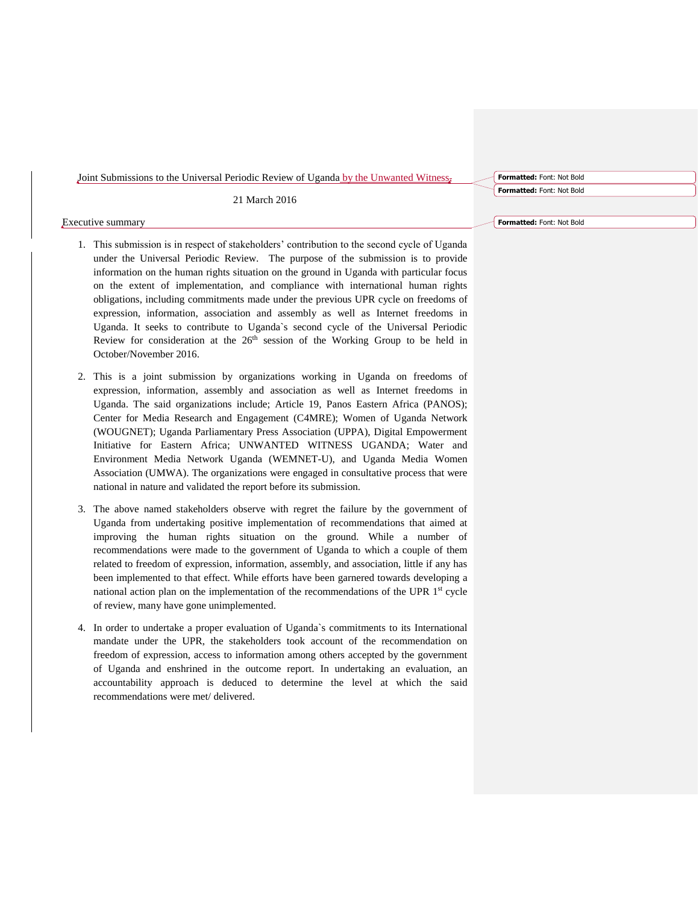Joint Submissions to the Universal Periodic Review of Uganda by the Unwanted Witness,

21 March 2016

## Executive summary

- 1. This submission is in respect of stakeholders' contribution to the second cycle of Uganda under the Universal Periodic Review. The purpose of the submission is to provide information on the human rights situation on the ground in Uganda with particular focus on the extent of implementation, and compliance with international human rights obligations, including commitments made under the previous UPR cycle on freedoms of expression, information, association and assembly as well as Internet freedoms in Uganda. It seeks to contribute to Uganda`s second cycle of the Universal Periodic Review for consideration at the  $26<sup>th</sup>$  session of the Working Group to be held in October/November 2016.
- 2. This is a joint submission by organizations working in Uganda on freedoms of expression, information, assembly and association as well as Internet freedoms in Uganda. The said organizations include; Article 19, Panos Eastern Africa (PANOS); Center for Media Research and Engagement (C4MRE); Women of Uganda Network (WOUGNET); Uganda Parliamentary Press Association (UPPA), Digital Empowerment Initiative for Eastern Africa; UNWANTED WITNESS UGANDA; Water and Environment Media Network Uganda (WEMNET-U), and Uganda Media Women Association (UMWA). The organizations were engaged in consultative process that were national in nature and validated the report before its submission.
- 3. The above named stakeholders observe with regret the failure by the government of Uganda from undertaking positive implementation of recommendations that aimed at improving the human rights situation on the ground. While a number of recommendations were made to the government of Uganda to which a couple of them related to freedom of expression, information, assembly, and association, little if any has been implemented to that effect. While efforts have been garnered towards developing a national action plan on the implementation of the recommendations of the UPR  $1<sup>st</sup>$  cycle of review, many have gone unimplemented.
- 4. In order to undertake a proper evaluation of Uganda`s commitments to its International mandate under the UPR, the stakeholders took account of the recommendation on freedom of expression, access to information among others accepted by the government of Uganda and enshrined in the outcome report. In undertaking an evaluation, an accountability approach is deduced to determine the level at which the said recommendations were met/ delivered.

**Formatted:** Font: Not Bold

**Formatted:** Font: Not Bold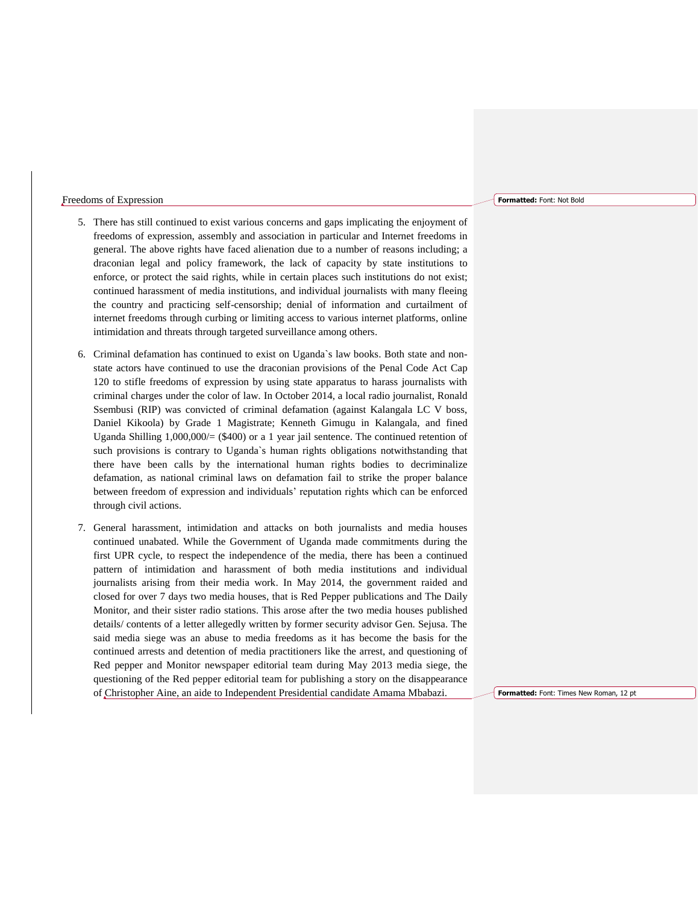# Freedoms of Expression

- 5. There has still continued to exist various concerns and gaps implicating the enjoyment of freedoms of expression, assembly and association in particular and Internet freedoms in general. The above rights have faced alienation due to a number of reasons including; a draconian legal and policy framework, the lack of capacity by state institutions to enforce, or protect the said rights, while in certain places such institutions do not exist; continued harassment of media institutions, and individual journalists with many fleeing the country and practicing self-censorship; denial of information and curtailment of internet freedoms through curbing or limiting access to various internet platforms, online intimidation and threats through targeted surveillance among others.
- 6. Criminal defamation has continued to exist on Uganda`s law books. Both state and nonstate actors have continued to use the draconian provisions of the Penal Code Act Cap 120 to stifle freedoms of expression by using state apparatus to harass journalists with criminal charges under the color of law. In October 2014, a local radio journalist, Ronald Ssembusi (RIP) was convicted of criminal defamation (against Kalangala LC V boss, Daniel Kikoola) by Grade 1 Magistrate; Kenneth Gimugu in Kalangala, and fined Uganda Shilling  $1,000,000/=(\$400)$  or a 1 year jail sentence. The continued retention of such provisions is contrary to Uganda`s human rights obligations notwithstanding that there have been calls by the international human rights bodies to decriminalize defamation, as national criminal laws on defamation fail to strike the proper balance between freedom of expression and individuals' reputation rights which can be enforced through civil actions.
- 7. General harassment, intimidation and attacks on both journalists and media houses continued unabated. While the Government of Uganda made commitments during the first UPR cycle, to respect the independence of the media, there has been a continued pattern of intimidation and harassment of both media institutions and individual journalists arising from their media work. In May 2014, the government raided and closed for over 7 days two media houses, that is Red Pepper publications and The Daily Monitor, and their sister radio stations. This arose after the two media houses published details/ contents of a letter allegedly written by former security advisor Gen. Sejusa. The said media siege was an abuse to media freedoms as it has become the basis for the continued arrests and detention of media practitioners like the arrest, and questioning of Red pepper and Monitor newspaper editorial team during May 2013 media siege, the questioning of the Red pepper editorial team for publishing a story on the disappearance of Christopher Aine, an aide to Independent Presidential candidate Amama Mbabazi.

**Formatted:** Font: Not Bold

**Formatted:** Font: Times New Roman, 12 pt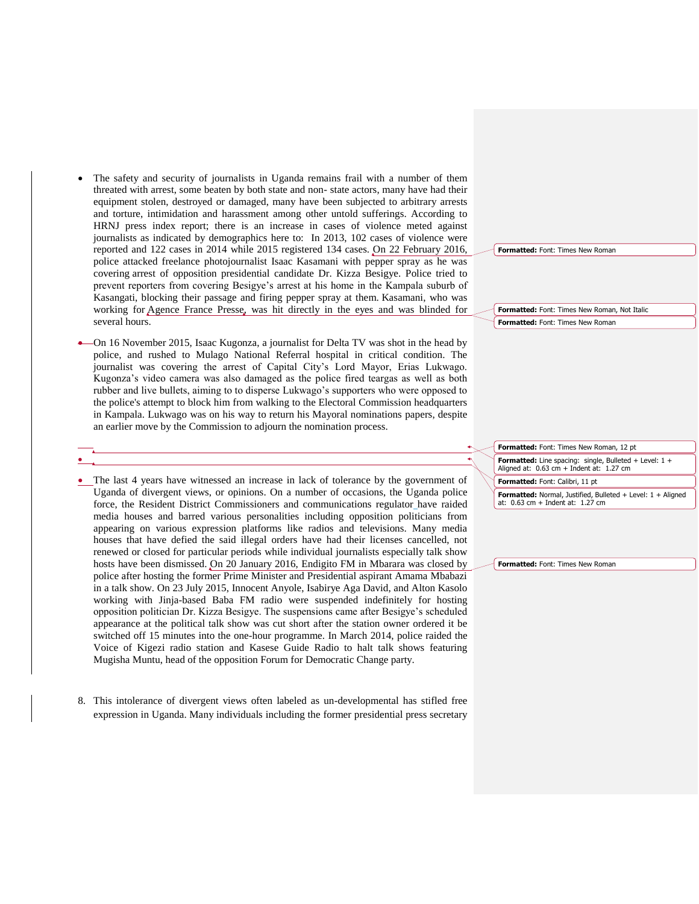- The safety and security of journalists in Uganda remains frail with a number of them threated with arrest, some beaten by both state and non- state actors, many have had their equipment stolen, destroyed or damaged, many have been subjected to arbitrary arrests and torture, intimidation and harassment among other untold sufferings. According to HRNJ press index report; there is an increase in cases of violence meted against journalists as indicated by demographics here to: In 2013, 102 cases of violence were reported and 122 cases in 2014 while 2015 registered 134 cases. On 22 February 2016, police attacked freelance photojournalist Isaac Kasamani with pepper spray as he was covering arrest of opposition presidential candidate Dr. Kizza Besigye. Police tried to prevent reporters from covering Besigye's arrest at his home in the Kampala suburb of Kasangati, blocking their passage and firing pepper spray at them. Kasamani, who was working for Agence France Presse, was hit directly in the eyes and was blinded for several hours.
- On 16 November 2015, Isaac Kugonza, a journalist for Delta TV was shot in the head by police, and rushed to Mulago National Referral hospital in critical condition. The journalist was covering the arrest of Capital City's Lord Mayor, Erias Lukwago. Kugonza's video camera was also damaged as the police fired teargas as well as both rubber and live bullets, aiming to to disperse Lukwago's supporters who were opposed to the police's attempt to block him from walking to the Electoral Commission headquarters in Kampala. Lukwago was on his way to return his Mayoral nominations papers, despite an earlier move by the Commission to adjourn the nomination process.

 $\bullet$ 

- The last 4 years have witnessed an increase in lack of tolerance by the government of Uganda of divergent views, or opinions. On a number of occasions, the Uganda police force, the Resident District Commissioners and communications regulator have raided media houses and barred various personalities including opposition politicians from appearing on various expression platforms like radios and televisions. Many media houses that have defied the said illegal orders have had their licenses cancelled, not renewed or closed for particular periods while individual journalists especially talk show hosts have been dismissed. On 20 January 2016, Endigito FM in Mbarara was closed by police after hosting the former Prime Minister and Presidential aspirant Amama Mbabazi in a talk show. On 23 July 2015, Innocent Anyole, Isabirye Aga David, and Alton Kasolo working with Jinja-based Baba FM radio were suspended indefinitely for hosting opposition politician Dr. Kizza Besigye. The suspensions came after Besigye's scheduled appearance at the political talk show was cut short after the station owner ordered it be switched off 15 minutes into the one-hour programme. In March 2014, police raided the Voice of Kigezi radio station and Kasese Guide Radio to halt talk shows featuring Mugisha Muntu, head of the opposition Forum for Democratic Change party.
- 8. This intolerance of divergent views often labeled as un-developmental has stifled free expression in Uganda. Many individuals including the former presidential press secretary

**Formatted:** Font: Times New Roman

**Formatted:** Font: Times New Roman, Not Italic **Formatted:** Font: Times New Roman

**Formatted:** Font: Times New Roman, 12 pt

**Formatted:** Line spacing: single, Bulleted + Level: 1 + Aligned at: 0.63 cm + Indent at: 1.27 cm

**Formatted:** Font: Calibri, 11 pt

**Formatted:** Normal, Justified, Bulleted + Level: 1 + Aligned at: 0.63 cm + Indent at: 1.27 cm

**Formatted:** Font: Times New Roman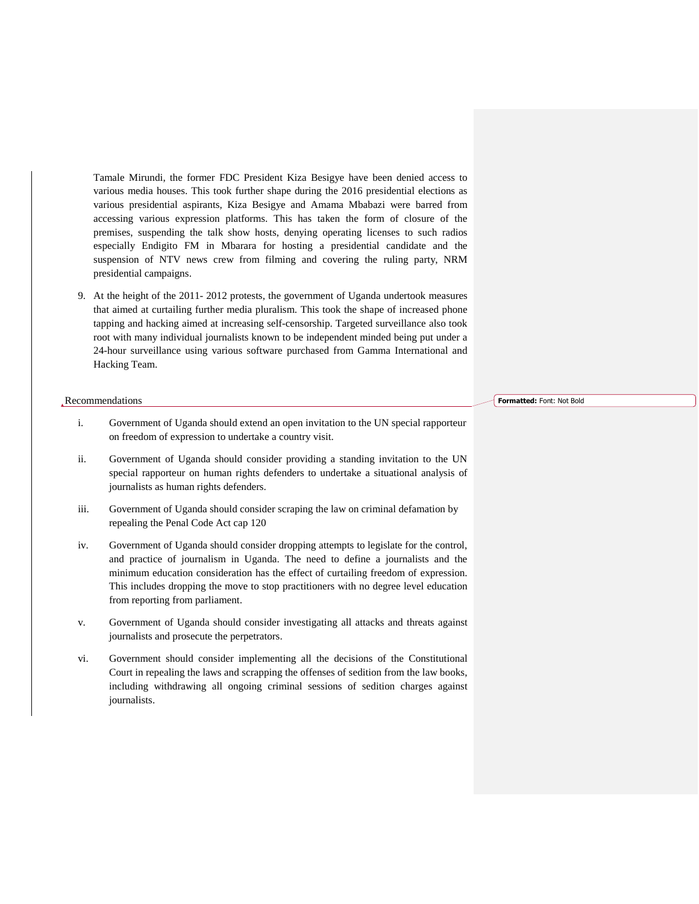Tamale Mirundi, the former FDC President Kiza Besigye have been denied access to various media houses. This took further shape during the 2016 presidential elections as various presidential aspirants, Kiza Besigye and Amama Mbabazi were barred from accessing various expression platforms. This has taken the form of closure of the premises, suspending the talk show hosts, denying operating licenses to such radios especially Endigito FM in Mbarara for hosting a presidential candidate and the suspension of NTV news crew from filming and covering the ruling party, NRM presidential campaigns.

9. At the height of the 2011- 2012 protests, the government of Uganda undertook measures that aimed at curtailing further media pluralism. This took the shape of increased phone tapping and hacking aimed at increasing self-censorship. Targeted surveillance also took root with many individual journalists known to be independent minded being put under a 24-hour surveillance using various software purchased from Gamma International and Hacking Team.

# Recommendations

- i. Government of Uganda should extend an open invitation to the UN special rapporteur on freedom of expression to undertake a country visit.
- ii. Government of Uganda should consider providing a standing invitation to the UN special rapporteur on human rights defenders to undertake a situational analysis of journalists as human rights defenders.
- iii. Government of Uganda should consider scraping the law on criminal defamation by repealing the Penal Code Act cap 120
- iv. Government of Uganda should consider dropping attempts to legislate for the control, and practice of journalism in Uganda. The need to define a journalists and the minimum education consideration has the effect of curtailing freedom of expression. This includes dropping the move to stop practitioners with no degree level education from reporting from parliament.
- v. Government of Uganda should consider investigating all attacks and threats against journalists and prosecute the perpetrators.
- vi. Government should consider implementing all the decisions of the Constitutional Court in repealing the laws and scrapping the offenses of sedition from the law books, including withdrawing all ongoing criminal sessions of sedition charges against journalists.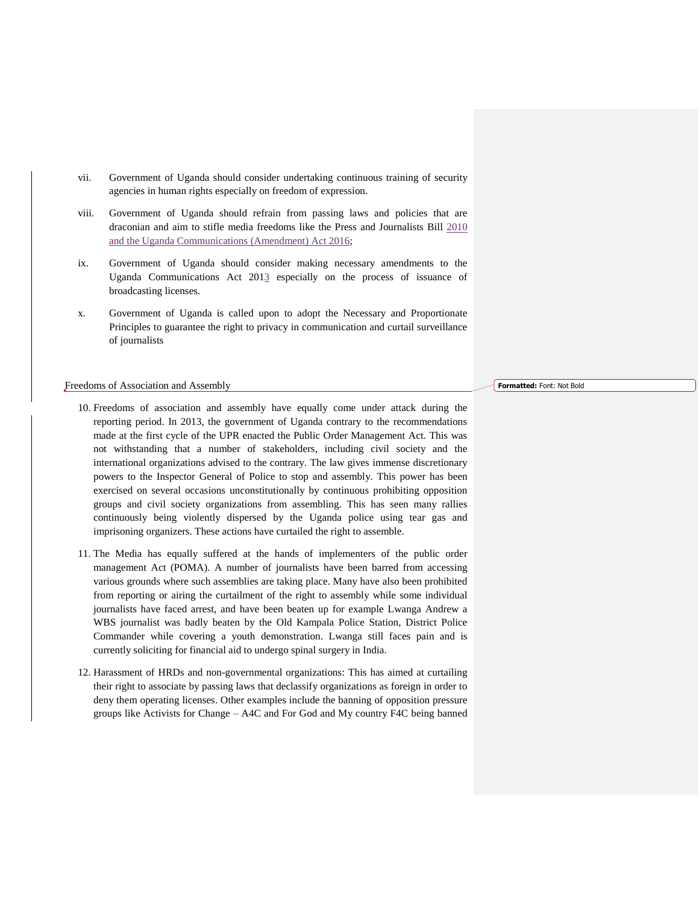- vii. Government of Uganda should consider undertaking continuous training of security agencies in human rights especially on freedom of expression.
- viii. Government of Uganda should refrain from passing laws and policies that are draconian and aim to stifle media freedoms like the Press and Journalists Bill 2010 and the Uganda Communications (Amendment) Act 2016;
- ix. Government of Uganda should consider making necessary amendments to the Uganda Communications Act 2013 especially on the process of issuance of broadcasting licenses.
- x. Government of Uganda is called upon to adopt the Necessary and Proportionate Principles to guarantee the right to privacy in communication and curtail surveillance of journalists

## Freedoms of Association and Assembly

- 10. Freedoms of association and assembly have equally come under attack during the reporting period. In 2013, the government of Uganda contrary to the recommendations made at the first cycle of the UPR enacted the Public Order Management Act. This was not withstanding that a number of stakeholders, including civil society and the international organizations advised to the contrary. The law gives immense discretionary powers to the Inspector General of Police to stop and assembly. This power has been exercised on several occasions unconstitutionally by continuous prohibiting opposition groups and civil society organizations from assembling. This has seen many rallies continuously being violently dispersed by the Uganda police using tear gas and imprisoning organizers. These actions have curtailed the right to assemble.
- 11. The Media has equally suffered at the hands of implementers of the public order management Act (POMA). A number of journalists have been barred from accessing various grounds where such assemblies are taking place. Many have also been prohibited from reporting or airing the curtailment of the right to assembly while some individual journalists have faced arrest, and have been beaten up for example Lwanga Andrew a WBS journalist was badly beaten by the Old Kampala Police Station, District Police Commander while covering a youth demonstration. Lwanga still faces pain and is currently soliciting for financial aid to undergo spinal surgery in India.
- 12. Harassment of HRDs and non-governmental organizations: This has aimed at curtailing their right to associate by passing laws that declassify organizations as foreign in order to deny them operating licenses. Other examples include the banning of opposition pressure groups like Activists for Change – A4C and For God and My country F4C being banned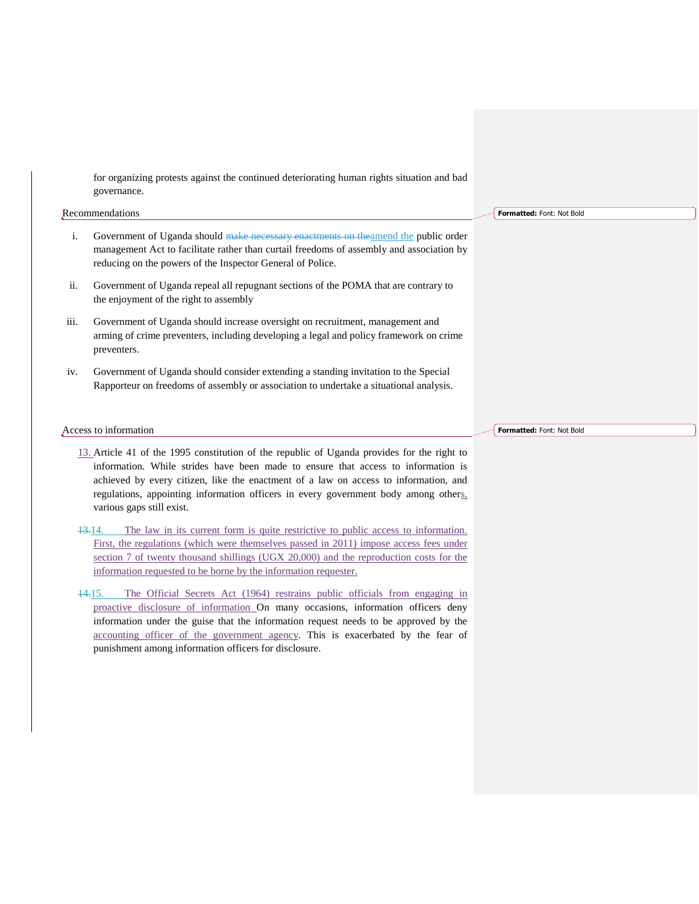for organizing protests against the continued deteriorating human rights situation and bad governance.

# Recommendations

- i. Government of Uganda should make necessary enactments on theamend the public order management Act to facilitate rather than curtail freedoms of assembly and association by reducing on the powers of the Inspector General of Police.
- ii. Government of Uganda repeal all repugnant sections of the POMA that are contrary to the enjoyment of the right to assembly
- iii. Government of Uganda should increase oversight on recruitment, management and arming of crime preventers, including developing a legal and policy framework on crime preventers.
- iv. Government of Uganda should consider extending a standing invitation to the Special Rapporteur on freedoms of assembly or association to undertake a situational analysis.

# Access to information

- 13. Article 41 of the 1995 constitution of the republic of Uganda provides for the right to information. While strides have been made to ensure that access to information is achieved by every citizen, like the enactment of a law on access to information, and regulations, appointing information officers in every government body among others, various gaps still exist.
- 13.14. The law in its current form is quite restrictive to public access to information. First, the regulations (which were themselves passed in 2011) impose access fees under section 7 of twenty thousand shillings (UGX 20,000) and the reproduction costs for the information requested to be borne by the information requester.
- 14.15. The Official Secrets Act (1964) restrains public officials from engaging in proactive disclosure of information On many occasions, information officers deny information under the guise that the information request needs to be approved by the accounting officer of the government agency. This is exacerbated by the fear of punishment among information officers for disclosure.

**Formatted:** Font: Not Bold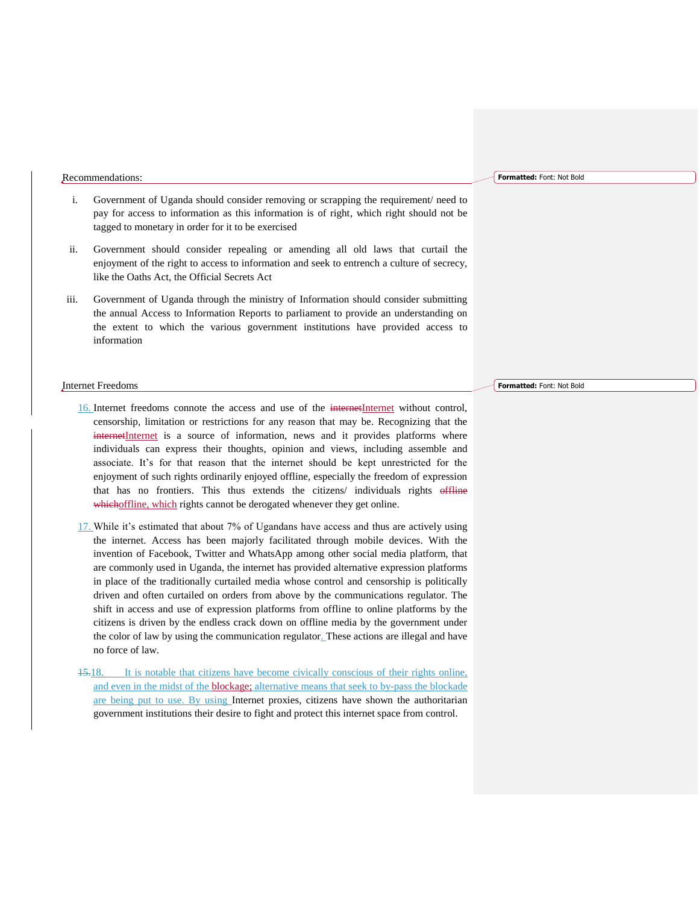## Recommendations:

- i. Government of Uganda should consider removing or scrapping the requirement/ need to pay for access to information as this information is of right, which right should not be tagged to monetary in order for it to be exercised
- ii. Government should consider repealing or amending all old laws that curtail the enjoyment of the right to access to information and seek to entrench a culture of secrecy, like the Oaths Act, the Official Secrets Act
- iii. Government of Uganda through the ministry of Information should consider submitting the annual Access to Information Reports to parliament to provide an understanding on the extent to which the various government institutions have provided access to information

#### Internet Freedoms

- 16. Internet freedoms connote the access and use of the internetInternet without control, censorship, limitation or restrictions for any reason that may be. Recognizing that the internetInternet is a source of information, news and it provides platforms where individuals can express their thoughts, opinion and views, including assemble and associate. It's for that reason that the internet should be kept unrestricted for the enjoyment of such rights ordinarily enjoyed offline, especially the freedom of expression that has no frontiers. This thus extends the citizens/ individuals rights offline whichoffline, which rights cannot be derogated whenever they get online.
- 17. While it's estimated that about 7% of Ugandans have access and thus are actively using the internet. Access has been majorly facilitated through mobile devices. With the invention of Facebook, Twitter and WhatsApp among other social media platform, that are commonly used in Uganda, the internet has provided alternative expression platforms in place of the traditionally curtailed media whose control and censorship is politically driven and often curtailed on orders from above by the communications regulator. The shift in access and use of expression platforms from offline to online platforms by the citizens is driven by the endless crack down on offline media by the government under the color of law by using the communication regulator. These actions are illegal and have no force of law.
- 15.18. It is notable that citizens have become civically conscious of their rights online, and even in the midst of the blockage; alternative means that seek to by-pass the blockade are being put to use. By using Internet proxies, citizens have shown the authoritarian government institutions their desire to fight and protect this internet space from control.

#### **Formatted:** Font: Not Bold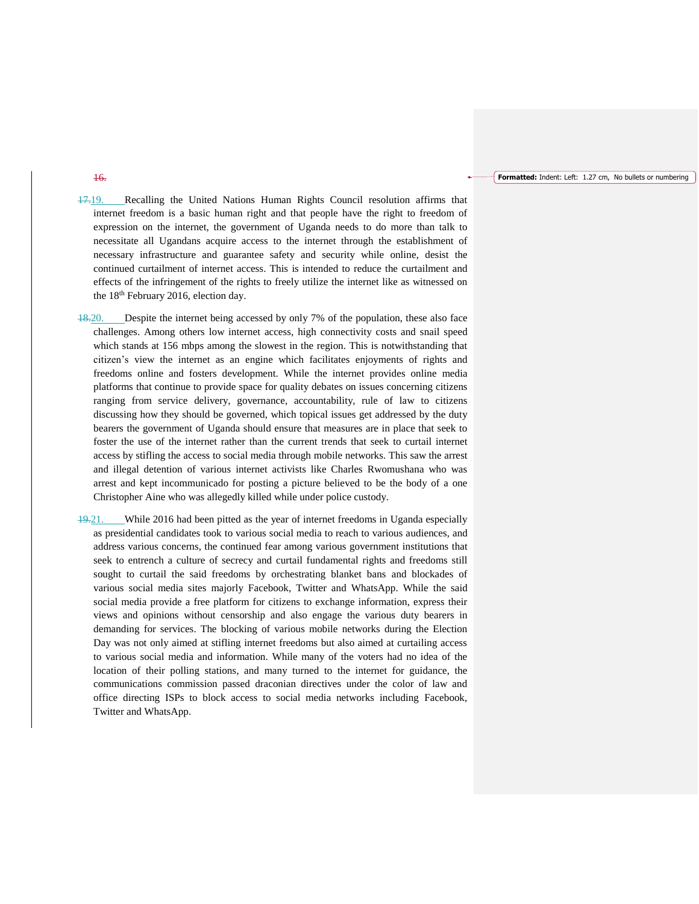#### **Formatted:** Indent: Left: 1.27 cm, No bullets or numbering

17.19. Recalling the United Nations Human Rights Council resolution affirms that internet freedom is a basic human right and that people have the right to freedom of expression on the internet, the government of Uganda needs to do more than talk to necessitate all Ugandans acquire access to the internet through the establishment of necessary infrastructure and guarantee safety and security while online, desist the continued curtailment of internet access. This is intended to reduce the curtailment and effects of the infringement of the rights to freely utilize the internet like as witnessed on the 18<sup>th</sup> February 2016, election day.

18.20. Despite the internet being accessed by only 7% of the population, these also face challenges. Among others low internet access, high connectivity costs and snail speed which stands at 156 mbps among the slowest in the region. This is notwithstanding that citizen's view the internet as an engine which facilitates enjoyments of rights and freedoms online and fosters development. While the internet provides online media platforms that continue to provide space for quality debates on issues concerning citizens ranging from service delivery, governance, accountability, rule of law to citizens discussing how they should be governed, which topical issues get addressed by the duty bearers the government of Uganda should ensure that measures are in place that seek to foster the use of the internet rather than the current trends that seek to curtail internet access by stifling the access to social media through mobile networks. This saw the arrest and illegal detention of various internet activists like Charles Rwomushana who was arrest and kept incommunicado for posting a picture believed to be the body of a one Christopher Aine who was allegedly killed while under police custody.

19.21. While 2016 had been pitted as the year of internet freedoms in Uganda especially as presidential candidates took to various social media to reach to various audiences, and address various concerns, the continued fear among various government institutions that seek to entrench a culture of secrecy and curtail fundamental rights and freedoms still sought to curtail the said freedoms by orchestrating blanket bans and blockades of various social media sites majorly Facebook, Twitter and WhatsApp. While the said social media provide a free platform for citizens to exchange information, express their views and opinions without censorship and also engage the various duty bearers in demanding for services. The blocking of various mobile networks during the Election Day was not only aimed at stifling internet freedoms but also aimed at curtailing access to various social media and information. While many of the voters had no idea of the location of their polling stations, and many turned to the internet for guidance, the communications commission passed draconian directives under the color of law and office directing ISPs to block access to social media networks including Facebook, Twitter and WhatsApp.

# 16.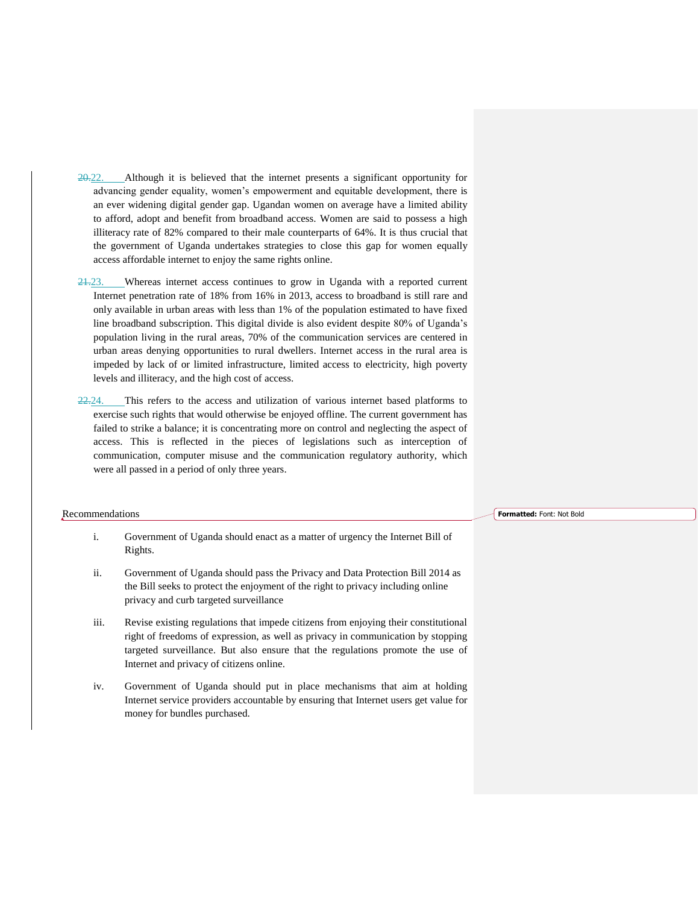- 20.22. Although it is believed that the internet presents a significant opportunity for advancing gender equality, women's empowerment and equitable development, there is an ever widening digital gender gap. Ugandan women on average have a limited ability to afford, adopt and benefit from broadband access. Women are said to possess a high illiteracy rate of 82% compared to their male counterparts of 64%. It is thus crucial that the government of Uganda undertakes strategies to close this gap for women equally access affordable internet to enjoy the same rights online.
- 21.23. Whereas internet access continues to grow in Uganda with a reported current Internet penetration rate of 18% from 16% in 2013, access to broadband is still rare and only available in urban areas with less than 1% of the population estimated to have fixed line broadband subscription. This digital divide is also evident despite 80% of Uganda's population living in the rural areas, 70% of the communication services are centered in urban areas denying opportunities to rural dwellers. Internet access in the rural area is impeded by lack of or limited infrastructure, limited access to electricity, high poverty levels and illiteracy, and the high cost of access.
- 22.24. This refers to the access and utilization of various internet based platforms to exercise such rights that would otherwise be enjoyed offline. The current government has failed to strike a balance; it is concentrating more on control and neglecting the aspect of access. This is reflected in the pieces of legislations such as interception of communication, computer misuse and the communication regulatory authority, which were all passed in a period of only three years.

# Recommendations

- i. Government of Uganda should enact as a matter of urgency the Internet Bill of Rights.
- ii. Government of Uganda should pass the Privacy and Data Protection Bill 2014 as the Bill seeks to protect the enjoyment of the right to privacy including online privacy and curb targeted surveillance
- iii. Revise existing regulations that impede citizens from enjoying their constitutional right of freedoms of expression, as well as privacy in communication by stopping targeted surveillance. But also ensure that the regulations promote the use of Internet and privacy of citizens online.
- iv. Government of Uganda should put in place mechanisms that aim at holding Internet service providers accountable by ensuring that Internet users get value for money for bundles purchased.